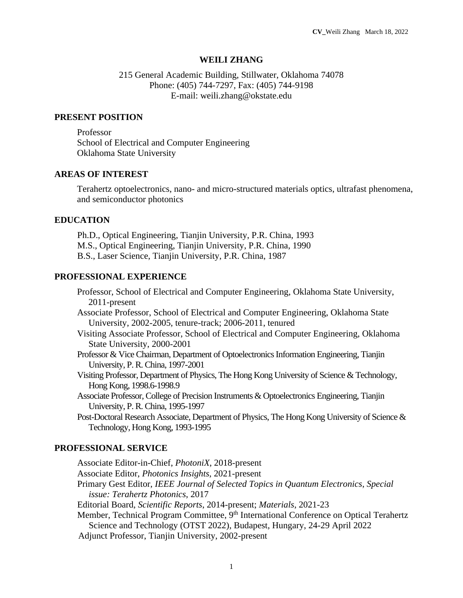### **WEILI ZHANG**

## 215 General Academic Building, Stillwater, Oklahoma 74078 Phone: (405) 744-7297, Fax: (405) 744-9198 E-mail: weili.zhang@okstate.edu

### **PRESENT POSITION**

Professor School of Electrical and Computer Engineering Oklahoma State University

## **AREAS OF INTEREST**

Terahertz optoelectronics, nano- and micro-structured materials optics, ultrafast phenomena, and semiconductor photonics

### **EDUCATION**

Ph.D., Optical Engineering, Tianjin University, P.R. China, 1993 M.S., Optical Engineering, Tianjin University, P.R. China, 1990 B.S., Laser Science, Tianjin University, P.R. China, 1987

#### **PROFESSIONAL EXPERIENCE**

Professor, School of Electrical and Computer Engineering, Oklahoma State University, 2011-present

Associate Professor, School of Electrical and Computer Engineering, Oklahoma State University, 2002-2005, tenure-track; 2006-2011, tenured

- Visiting Associate Professor, School of Electrical and Computer Engineering, Oklahoma State University, 2000-2001
- Professor & Vice Chairman, Department of Optoelectronics Information Engineering, Tianjin University, P.R. China, 1997-2001
- Visiting Professor, Department of Physics, The Hong Kong University of Science & Technology, Hong Kong, 1998.6-1998.9

Associate Professor, College of Precision Instruments & Optoelectronics Engineering, Tianjin University, P.R. China, 1995-1997

Post-Doctoral Research Associate, Department of Physics, The Hong Kong University of Science & Technology, Hong Kong, 1993-1995

## **PROFESSIONAL SERVICE**

Associate Editor-in-Chief, *PhotoniX*, 2018-present

Associate Editor, *Photonics Insights*, 2021-present

Primary Gest Editor, *IEEE Journal of Selected Topics in Quantum Electronics*, *Special issue: Terahertz Photonics*, 2017

Editorial Board, *Scientific Reports*, 2014-present; *Materials*, 2021-23

Member, Technical Program Committee, 9<sup>th</sup> International Conference on Optical Terahertz Science and Technology (OTST 2022), Budapest, Hungary, 24-29 April 2022

Adjunct Professor, Tianjin University, 2002-present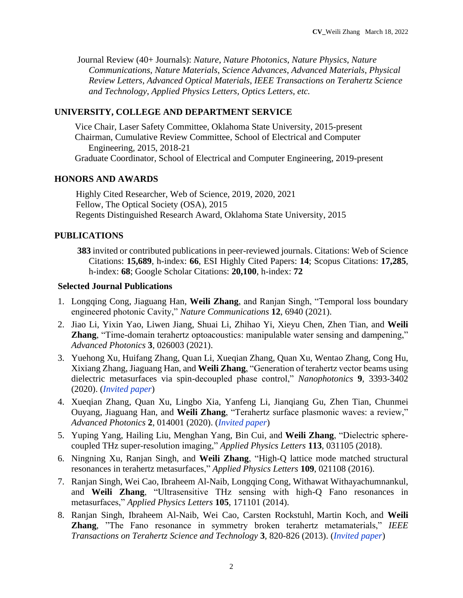Journal Review (40+ Journals): *Nature*, *Nature Photonics*, *Nature Physics*, *Nature Communications*, *Nature Materials*, *Science Advances*, *Advanced Materials*, *Physical Review Letters*, *Advanced Optical Materials*, *IEEE Transactions on Terahertz Science and Technology*, *Applied Physics Letters, Optics Letters, etc.*

# **UNIVERSITY, COLLEGE AND DEPARTMENT SERVICE**

Vice Chair, Laser Safety Committee, Oklahoma State University, 2015-present Chairman, Cumulative Review Committee, School of Electrical and Computer Engineering, 2015, 2018-21 Graduate Coordinator, School of Electrical and Computer Engineering, 2019-present

# **HONORS AND AWARDS**

Highly Cited Researcher, Web of Science, 2019, 2020, 2021 Fellow, The Optical Society (OSA), 2015 Regents Distinguished Research Award, Oklahoma State University, 2015

# **PUBLICATIONS**

**383** invited or contributed publications in peer-reviewed journals. Citations: Web of Science Citations: **15,689**, h-index: **66**, ESI Highly Cited Papers: **14**; Scopus Citations: **17,285**, h-index: **68**; Google Scholar Citations: **20,100**, h-index: **72**

# **Selected Journal Publications**

- 1. Longqing Cong, Jiaguang Han, **Weili Zhang**, and Ranjan Singh, "Temporal loss boundary engineered photonic Cavity," *Nature Communications* **12**, 6940 (2021).
- 2. Jiao Li, Yixin Yao, Liwen Jiang, Shuai Li, Zhihao Yi, Xieyu Chen, Zhen Tian, and **Weili Zhang**, "Time-domain terahertz optoacoustics: manipulable water sensing and dampening," *Advanced Photonics* **3**, 026003 (2021).
- 3. Yuehong Xu, Huifang Zhang, Quan Li, Xueqian Zhang, Quan Xu, Wentao Zhang, Cong Hu, Xixiang Zhang, Jiaguang Han, and **Weili Zhang**, "Generation of terahertz vector beams using dielectric metasurfaces via spin-decoupled phase control," *Nanophotonics* **9**, 3393-3402 (2020). (*Invited paper*)
- 4. Xueqian Zhang, Quan Xu, Lingbo Xia, Yanfeng Li, Jianqiang Gu, Zhen Tian, Chunmei Ouyang, Jiaguang Han, and **Weili Zhang**, "Terahertz surface plasmonic waves: a review," *Advanced Photonics* **2**, 014001 (2020). (*Invited paper*)
- 5. [Yuping Yang,](https://aip.scitation.org/author/Yang%2C+Yuping) [Hailing Liu,](https://aip.scitation.org/author/Liu%2C+Hailing) [Menghan Yang,](https://aip.scitation.org/author/Yang%2C+Menghan) [Bin Cui,](https://aip.scitation.org/author/Cui%2C+Bin) and **Weili Zhang**, "Dielectric spherecoupled THz super-resolution imaging," *Applied Physics Letters* **113**, 031105 (2018).
- 6. Ningning Xu, Ranjan Singh, and **Weili Zhang**, "High-Q lattice mode matched structural resonances in terahertz metasurfaces," *Applied Physics Letters* **109**, 021108 (2016).
- 7. Ranjan Singh, Wei Cao, Ibraheem Al-Naib, Longqing Cong, Withawat Withayachumnankul, and **Weili Zhang**, "Ultrasensitive THz sensing with high-Q Fano resonances in metasurfaces," *Applied Physics Letters* **105**, 171101 (2014).
- 8. Ranjan Singh, Ibraheem Al-Naib, Wei Cao, Carsten Rockstuhl, Martin Koch, and **Weili Zhang**, "The Fano resonance in symmetry broken terahertz metamaterials," *IEEE Transactions on Terahertz Science and Technology* **3**, 820-826 (2013). (*Invited paper*)